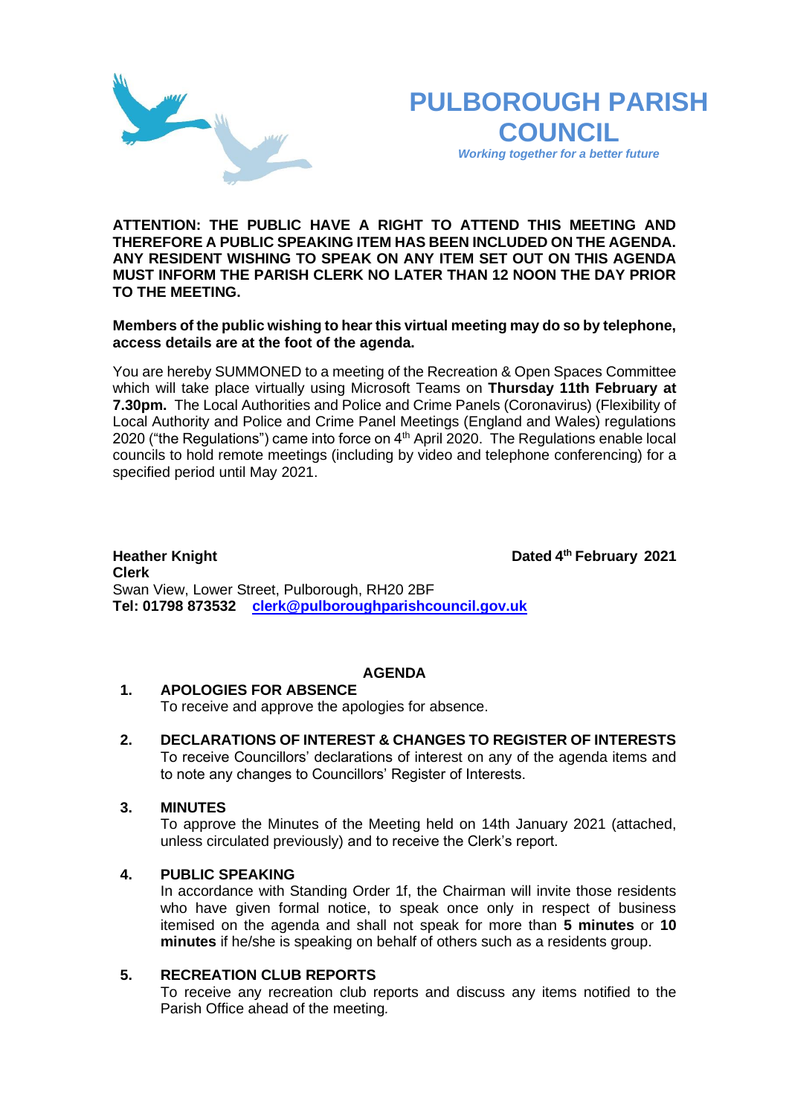



*Working together for a better future*

**ATTENTION: THE PUBLIC HAVE A RIGHT TO ATTEND THIS MEETING AND THEREFORE A PUBLIC SPEAKING ITEM HAS BEEN INCLUDED ON THE AGENDA. ANY RESIDENT WISHING TO SPEAK ON ANY ITEM SET OUT ON THIS AGENDA MUST INFORM THE PARISH CLERK NO LATER THAN 12 NOON THE DAY PRIOR TO THE MEETING.**

**Members of the public wishing to hear this virtual meeting may do so by telephone, access details are at the foot of the agenda.**

You are hereby SUMMONED to a meeting of the Recreation & Open Spaces Committee which will take place virtually using Microsoft Teams on **Thursday 11th February at 7.30pm.** The Local Authorities and Police and Crime Panels (Coronavirus) (Flexibility of Local Authority and Police and Crime Panel Meetings (England and Wales) regulations 2020 ("the Regulations") came into force on 4<sup>th</sup> April 2020. The Regulations enable local councils to hold remote meetings (including by video and telephone conferencing) for a specified period until May 2021.

#### **Heather Knight th February 2021 Clerk**  Swan View, Lower Street, Pulborough, RH20 2BF **Tel: 01798 873532 [clerk@pulboroughparishcouncil.gov.uk](mailto:clerk@pulboroughparishcouncil.gov.uk)**

## **AGENDA**

## **1. APOLOGIES FOR ABSENCE**

To receive and approve the apologies for absence.

**2. DECLARATIONS OF INTEREST & CHANGES TO REGISTER OF INTERESTS** To receive Councillors' declarations of interest on any of the agenda items and to note any changes to Councillors' Register of Interests.

#### **3. MINUTES**

To approve the Minutes of the Meeting held on 14th January 2021 (attached, unless circulated previously) and to receive the Clerk's report.

## **4. PUBLIC SPEAKING**

In accordance with Standing Order 1f, the Chairman will invite those residents who have given formal notice, to speak once only in respect of business itemised on the agenda and shall not speak for more than **5 minutes** or **10 minutes** if he/she is speaking on behalf of others such as a residents group.

#### **5. RECREATION CLUB REPORTS**

To receive any recreation club reports and discuss any items notified to the Parish Office ahead of the meeting*.*